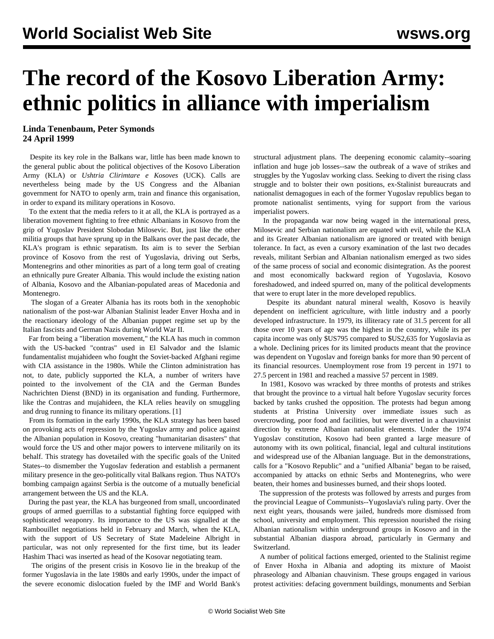## **The record of the Kosovo Liberation Army: ethnic politics in alliance with imperialism**

## **Linda Tenenbaum, Peter Symonds 24 April 1999**

 Despite its key role in the Balkans war, little has been made known to the general public about the political objectives of the Kosovo Liberation Army (KLA) or *Ushtria Clirimtare e Kosoves* (UCK). Calls are nevertheless being made by the US Congress and the Albanian government for NATO to openly arm, train and finance this organisation, in order to expand its military operations in Kosovo.

 To the extent that the media refers to it at all, the KLA is portrayed as a liberation movement fighting to free ethnic Albanians in Kosovo from the grip of Yugoslav President Slobodan Milosevic. But, just like the other militia groups that have sprung up in the Balkans over the past decade, the KLA's program is ethnic separatism. Its aim is to sever the Serbian province of Kosovo from the rest of Yugoslavia, driving out Serbs, Montenegrins and other minorities as part of a long term goal of creating an ethnically pure Greater Albania. This would include the existing nation of Albania, Kosovo and the Albanian-populated areas of Macedonia and Montenegro.

 The slogan of a Greater Albania has its roots both in the xenophobic nationalism of the post-war Albanian Stalinist leader Enver Hoxha and in the reactionary ideology of the Albanian puppet regime set up by the Italian fascists and German Nazis during World War II.

 Far from being a "liberation movement," the KLA has much in common with the US-backed "contras" used in El Salvador and the Islamic fundamentalist mujahideen who fought the Soviet-backed Afghani regime with CIA assistance in the 1980s. While the Clinton administration has not, to date, publicly supported the KLA, a number of writers have pointed to the involvement of the CIA and the German Bundes Nachrichten Dienst (BND) in its organisation and funding. Furthermore, like the Contras and mujahideen, the KLA relies heavily on smuggling and drug running to finance its military operations. [1]

 From its formation in the early 1990s, the KLA strategy has been based on provoking acts of repression by the Yugoslav army and police against the Albanian population in Kosovo, creating "humanitarian disasters" that would force the US and other major powers to intervene militarily on its behalf. This strategy has dovetailed with the specific goals of the United States--to dismember the Yugoslav federation and establish a permanent military presence in the geo-politically vital Balkans region. Thus NATO's bombing campaign against Serbia is the outcome of a mutually beneficial arrangement between the US and the KLA.

 During the past year, the KLA has burgeoned from small, uncoordinated groups of armed guerrillas to a substantial fighting force equipped with sophisticated weaponry. Its importance to the US was signalled at the Rambouillet negotiations held in February and March, when the KLA, with the support of US Secretary of State Madeleine Albright in particular, was not only represented for the first time, but its leader Hashim Thaci was inserted as head of the Kosovar negotiating team.

 The origins of the present crisis in Kosovo lie in the breakup of the former Yugoslavia in the late 1980s and early 1990s, under the impact of the severe economic dislocation fueled by the IMF and World Bank's

structural adjustment plans. The deepening economic calamity--soaring inflation and huge job losses--saw the outbreak of a wave of strikes and struggles by the Yugoslav working class. Seeking to divert the rising class struggle and to bolster their own positions, ex-Stalinist bureaucrats and nationalist demagogues in each of the former Yugoslav republics began to promote nationalist sentiments, vying for support from the various imperialist powers.

 In the propaganda war now being waged in the international press, Milosevic and Serbian nationalism are equated with evil, while the KLA and its Greater Albanian nationalism are ignored or treated with benign tolerance. In fact, as even a cursory examination of the last two decades reveals, militant Serbian and Albanian nationalism emerged as two sides of the same process of social and economic disintegration. As the poorest and most economically backward region of Yugoslavia, Kosovo foreshadowed, and indeed spurred on, many of the political developments that were to erupt later in the more developed republics.

 Despite its abundant natural mineral wealth, Kosovo is heavily dependent on inefficient agriculture, with little industry and a poorly developed infrastructure. In 1979, its illiteracy rate of 31.5 percent for all those over 10 years of age was the highest in the country, while its per capita income was only \$US795 compared to \$US2,635 for Yugoslavia as a whole. Declining prices for its limited products meant that the province was dependent on Yugoslav and foreign banks for more than 90 percent of its financial resources. Unemployment rose from 19 percent in 1971 to 27.5 percent in 1981 and reached a massive 57 percent in 1989.

 In 1981, Kosovo was wracked by three months of protests and strikes that brought the province to a virtual halt before Yugoslav security forces backed by tanks crushed the opposition. The protests had begun among students at Pristina University over immediate issues such as overcrowding, poor food and facilities, but were diverted in a chauvinist direction by extreme Albanian nationalist elements. Under the 1974 Yugoslav constitution, Kosovo had been granted a large measure of autonomy with its own political, financial, legal and cultural institutions and widespread use of the Albanian language. But in the demonstrations, calls for a "Kosovo Republic" and a "unified Albania" began to be raised, accompanied by attacks on ethnic Serbs and Montenegrins, who were beaten, their homes and businesses burned, and their shops looted.

 The suppression of the protests was followed by arrests and purges from the provincial League of Communists--Yugoslavia's ruling party. Over the next eight years, thousands were jailed, hundreds more dismissed from school, university and employment. This repression nourished the rising Albanian nationalism within underground groups in Kosovo and in the substantial Albanian diaspora abroad, particularly in Germany and Switzerland.

 A number of political factions emerged, oriented to the Stalinist regime of Enver Hoxha in Albania and adopting its mixture of Maoist phraseology and Albanian chauvinism. These groups engaged in various protest activities: defacing government buildings, monuments and Serbian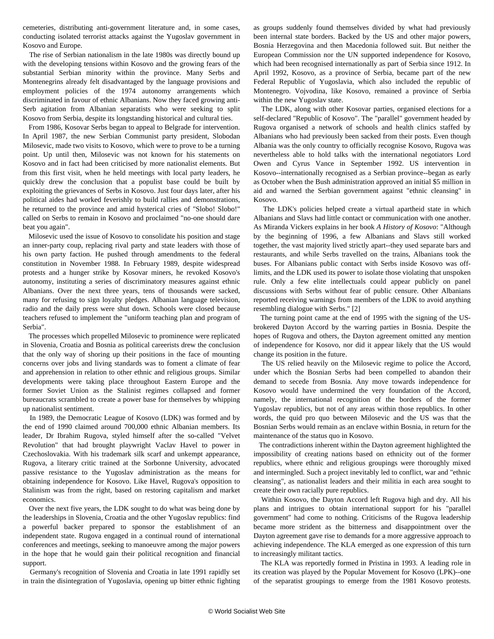cemeteries, distributing anti-government literature and, in some cases, conducting isolated terrorist attacks against the Yugoslav government in Kosovo and Europe.

 The rise of Serbian nationalism in the late 1980s was directly bound up with the developing tensions within Kosovo and the growing fears of the substantial Serbian minority within the province. Many Serbs and Montenegrins already felt disadvantaged by the language provisions and employment policies of the 1974 autonomy arrangements which discriminated in favour of ethnic Albanians. Now they faced growing anti-Serb agitation from Albanian separatists who were seeking to split Kosovo from Serbia, despite its longstanding historical and cultural ties.

 From 1986, Kosovar Serbs began to appeal to Belgrade for intervention. In April 1987, the new Serbian Communist party president, Slobodan Milosevic, made two visits to Kosovo, which were to prove to be a turning point. Up until then, Milosevic was not known for his statements on Kosovo and in fact had been criticised by more nationalist elements. But from this first visit, when he held meetings with local party leaders, he quickly drew the conclusion that a populist base could be built by exploiting the grievances of Serbs in Kosovo. Just four days later, after his political aides had worked feverishly to build rallies and demonstrations, he returned to the province and amid hysterical cries of "Slobo! Slobo!" called on Serbs to remain in Kosovo and proclaimed "no-one should dare beat you again".

 Milosevic used the issue of Kosovo to consolidate his position and stage an inner-party coup, replacing rival party and state leaders with those of his own party faction. He pushed through amendments to the federal constitution in November 1988. In February 1989, despite widespread protests and a hunger strike by Kosovar miners, he revoked Kosovo's autonomy, instituting a series of discriminatory measures against ethnic Albanians. Over the next three years, tens of thousands were sacked, many for refusing to sign loyalty pledges. Albanian language television, radio and the daily press were shut down. Schools were closed because teachers refused to implement the "uniform teaching plan and program of Serbia".

 The processes which propelled Milosevic to prominence were replicated in Slovenia, Croatia and Bosnia as political careerists drew the conclusion that the only way of shoring up their positions in the face of mounting concerns over jobs and living standards was to foment a climate of fear and apprehension in relation to other ethnic and religious groups. Similar developments were taking place throughout Eastern Europe and the former Soviet Union as the Stalinist regimes collapsed and former bureaucrats scrambled to create a power base for themselves by whipping up nationalist sentiment.

 In 1989, the Democratic League of Kosovo (LDK) was formed and by the end of 1990 claimed around 700,000 ethnic Albanian members. Its leader, Dr Ibrahim Rugova, styled himself after the so-called "Velvet Revolution" that had brought playwright Vaclav Havel to power in Czechoslovakia. With his trademark silk scarf and unkempt appearance, Rugova, a literary critic trained at the Sorbonne University, advocated passive resistance to the Yugoslav administration as the means for obtaining independence for Kosovo. Like Havel, Rugova's opposition to Stalinism was from the right, based on restoring capitalism and market economics.

 Over the next five years, the LDK sought to do what was being done by the leaderships in Slovenia, Croatia and the other Yugoslav republics: find a powerful backer prepared to sponsor the establishment of an independent state. Rugova engaged in a continual round of international conferences and meetings, seeking to manoeuvre among the major powers in the hope that he would gain their political recognition and financial support.

 Germany's recognition of Slovenia and Croatia in late 1991 rapidly set in train the disintegration of Yugoslavia, opening up bitter ethnic fighting as groups suddenly found themselves divided by what had previously been internal state borders. Backed by the US and other major powers, Bosnia Herzegovina and then Macedonia followed suit. But neither the European Commission nor the UN supported independence for Kosovo, which had been recognised internationally as part of Serbia since 1912. In April 1992, Kosovo, as a province of Serbia, became part of the new Federal Republic of Yugoslavia, which also included the republic of Montenegro. Vojvodina, like Kosovo, remained a province of Serbia within the new Yugoslav state.

 The LDK, along with other Kosovar parties, organised elections for a self-declared "Republic of Kosovo". The "parallel" government headed by Rugova organised a network of schools and health clinics staffed by Albanians who had previously been sacked from their posts. Even though Albania was the only country to officially recognise Kosovo, Rugova was nevertheless able to hold talks with the international negotiators Lord Owen and Cyrus Vance in September 1992. US intervention in Kosovo--internationally recognised as a Serbian province--began as early as October when the Bush administration approved an initial \$5 million in aid and warned the Serbian government against "ethnic cleansing" in Kosovo.

 The LDK's policies helped create a virtual apartheid state in which Albanians and Slavs had little contact or communication with one another. As Miranda Vickers explains in her book *A History of Kosovo*: "Although by the beginning of 1996, a few Albanians and Slavs still worked together, the vast majority lived strictly apart--they used separate bars and restaurants, and while Serbs travelled on the trains, Albanians took the buses. For Albanians public contact with Serbs inside Kosovo was offlimits, and the LDK used its power to isolate those violating that unspoken rule. Only a few elite intellectuals could appear publicly on panel discussions with Serbs without fear of public censure. Other Albanians reported receiving warnings from members of the LDK to avoid anything resembling dialogue with Serbs." [2]

 The turning point came at the end of 1995 with the signing of the USbrokered Dayton Accord by the warring parties in Bosnia. Despite the hopes of Rugova and others, the Dayton agreement omitted any mention of independence for Kosovo, nor did it appear likely that the US would change its position in the future.

 The US relied heavily on the Milosevic regime to police the Accord, under which the Bosnian Serbs had been compelled to abandon their demand to secede from Bosnia. Any move towards independence for Kosovo would have undermined the very foundation of the Accord, namely, the international recognition of the borders of the former Yugoslav republics, but not of any areas within those republics. In other words, the quid pro quo between Milosevic and the US was that the Bosnian Serbs would remain as an enclave within Bosnia, in return for the maintenance of the status quo in Kosovo.

 The contradictions inherent within the Dayton agreement highlighted the impossibility of creating nations based on ethnicity out of the former republics, where ethnic and religious groupings were thoroughly mixed and intermingled. Such a project inevitably led to conflict, war and "ethnic cleansing", as nationalist leaders and their militia in each area sought to create their own racially pure republics.

 Within Kosovo, the Dayton Accord left Rugova high and dry. All his plans and intrigues to obtain international support for his "parallel government" had come to nothing. Criticisms of the Rugova leadership became more strident as the bitterness and disappointment over the Dayton agreement gave rise to demands for a more aggressive approach to achieving independence. The KLA emerged as one expression of this turn to increasingly militant tactics.

 The KLA was reportedly formed in Pristina in 1993. A leading role in its creation was played by the Popular Movement for Kosovo (LPK)--one of the separatist groupings to emerge from the 1981 Kosovo protests.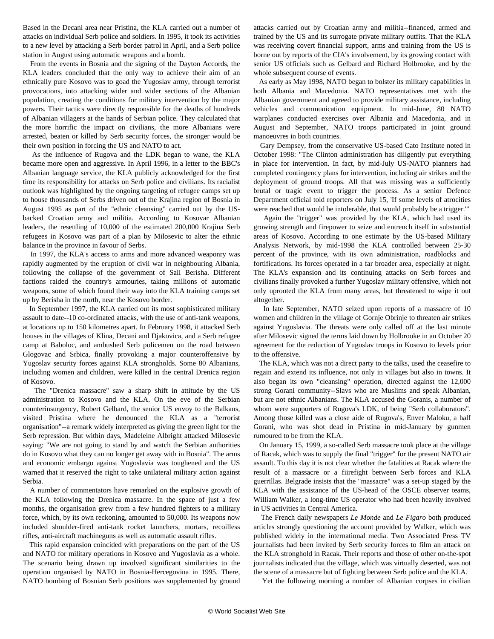Based in the Decani area near Pristina, the KLA carried out a number of attacks on individual Serb police and soldiers. In 1995, it took its activities to a new level by attacking a Serb border patrol in April, and a Serb police station in August using automatic weapons and a bomb.

 From the events in Bosnia and the signing of the Dayton Accords, the KLA leaders concluded that the only way to achieve their aim of an ethnically pure Kosovo was to goad the Yugoslav army, through terrorist provocations, into attacking wider and wider sections of the Albanian population, creating the conditions for military intervention by the major powers. Their tactics were directly responsible for the deaths of hundreds of Albanian villagers at the hands of Serbian police. They calculated that the more horrific the impact on civilians, the more Albanians were arrested, beaten or killed by Serb security forces, the stronger would be their own position in forcing the US and NATO to act.

 As the influence of Rugova and the LDK began to wane, the KLA became more open and aggressive. In April 1996, in a letter to the BBC's Albanian language service, the KLA publicly acknowledged for the first time its responsibility for attacks on Serb police and civilians. Its racialist outlook was highlighted by the ongoing targeting of refugee camps set up to house thousands of Serbs driven out of the Krajina region of Bosnia in August 1995 as part of the "ethnic cleansing" carried out by the USbacked Croatian army and militia. According to Kosovar Albanian leaders, the resettling of 10,000 of the estimated 200,000 Krajina Serb refugees in Kosovo was part of a plan by Milosevic to alter the ethnic balance in the province in favour of Serbs.

 In 1997, the KLA's access to arms and more advanced weaponry was rapidly augmented by the eruption of civil war in neighbouring Albania, following the collapse of the government of Sali Berisha. Different factions raided the country's armouries, taking millions of automatic weapons, some of which found their way into the KLA training camps set up by Berisha in the north, near the Kosovo border.

 In September 1997, the KLA carried out its most sophisticated military assault to date--10 co-ordinated attacks, with the use of anti-tank weapons, at locations up to 150 kilometres apart. In February 1998, it attacked Serb houses in the villages of Klina, Decani and Djakovica, and a Serb refugee camp at Baboloc, and ambushed Serb policemen on the road between Glogovac and Srbica, finally provoking a major counteroffensive by Yugoslav security forces against KLA strongholds. Some 80 Albanians, including women and children, were killed in the central Drenica region of Kosovo.

 The "Drenica massacre" saw a sharp shift in attitude by the US administration to Kosovo and the KLA. On the eve of the Serbian counterinsurgency, Robert Gelbard, the senior US envoy to the Balkans, visited Pristina where he denounced the KLA as a "terrorist organisation"--a remark widely interpreted as giving the green light for the Serb repression. But within days, Madeleine Albright attacked Milosevic saying: "We are not going to stand by and watch the Serbian authorities do in Kosovo what they can no longer get away with in Bosnia". The arms and economic embargo against Yugoslavia was toughened and the US warned that it reserved the right to take unilateral military action against Serbia.

 A number of commentators have remarked on the explosive growth of the KLA following the Drenica massacre. In the space of just a few months, the organisation grew from a few hundred fighters to a military force, which, by its own reckoning, amounted to 50,000. Its weapons now included shoulder-fired anti-tank rocket launchers, mortars, recoilless rifles, anti-aircraft machineguns as well as automatic assault rifles.

 This rapid expansion coincided with preparations on the part of the US and NATO for military operations in Kosovo and Yugoslavia as a whole. The scenario being drawn up involved significant similarities to the operation organised by NATO in Bosnia-Hercegovina in 1995. There, NATO bombing of Bosnian Serb positions was supplemented by ground attacks carried out by Croatian army and militia--financed, armed and trained by the US and its surrogate private military outfits. That the KLA was receiving covert financial support, arms and training from the US is borne out by reports of the CIA's involvement, by its growing contact with senior US officials such as Gelbard and Richard Holbrooke, and by the whole subsequent course of events.

 As early as May 1998, NATO began to bolster its military capabilities in both Albania and Macedonia. NATO representatives met with the Albanian government and agreed to provide military assistance, including vehicles and communication equipment. In mid-June, 80 NATO warplanes conducted exercises over Albania and Macedonia, and in August and September, NATO troops participated in joint ground manoeuvres in both countries.

 Gary Dempsey, from the conservative US-based Cato Institute noted in October 1998: "The Clinton administration has diligently put everything in place for intervention. In fact, by mid-July US-NATO planners had completed contingency plans for intervention, including air strikes and the deployment of ground troops. All that was missing was a sufficiently brutal or tragic event to trigger the process. As a senior Defence Department official told reporters on July 15, 'If some levels of atrocities were reached that would be intolerable, that would probably be a trigger.'"

 Again the "trigger" was provided by the KLA, which had used its growing strength and firepower to seize and entrench itself in substantial areas of Kosovo. According to one estimate by the US-based Military Analysis Network, by mid-1998 the KLA controlled between 25-30 percent of the province, with its own administration, roadblocks and fortifications. Its forces operated in a far broader area, especially at night. The KLA's expansion and its continuing attacks on Serb forces and civilians finally provoked a further Yugoslav military offensive, which not only uprooted the KLA from many areas, but threatened to wipe it out altogether.

 In late September, NATO seized upon reports of a massacre of 10 women and children in the village of Gornje Obrinje to threaten air strikes against Yugoslavia. The threats were only called off at the last minute after Milosevic signed the terms laid down by Holbrooke in an October 20 agreement for the reduction of Yugoslav troops in Kosovo to levels prior to the offensive.

 The KLA, which was not a direct party to the talks, used the ceasefire to regain and extend its influence, not only in villages but also in towns. It also began its own "cleansing" operation, directed against the 12,000 strong Gorani community--Slavs who are Muslims and speak Albanian, but are not ethnic Albanians. The KLA accused the Goranis, a number of whom were supporters of Rugova's LDK, of being "Serb collaborators". Among those killed was a close aide of Rugova's, Enver Maloku, a half Gorani, who was shot dead in Pristina in mid-January by gunmen rumoured to be from the KLA.

 On January 15, 1999, a so-called Serb massacre took place at the village of Racak, which was to supply the final "trigger" for the present NATO air assault. To this day it is not clear whether the fatalities at Racak where the result of a massacre or a fiirefight between Serb forces and KLA guerrillas. Belgrade insists that the "massacre" was a set-up staged by the KLA with the assistance of the US-head of the OSCE observer teams, William Walker, a long-time US operator who had been heavily involved in US activities in Central America.

 The French daily newspapers *Le Monde* and *Le Figaro* both produced articles strongly questioning the account provided by Walker, which was published widely in the international media. Two Associated Press TV journalists had been invited by Serb security forces to film an attack on the KLA stronghold in Racak. Their reports and those of other on-the-spot journalists indicated that the village, which was virtually deserted, was not the scene of a massacre but of fighting between Serb police and the KLA.

Yet the following morning a number of Albanian corpses in civilian